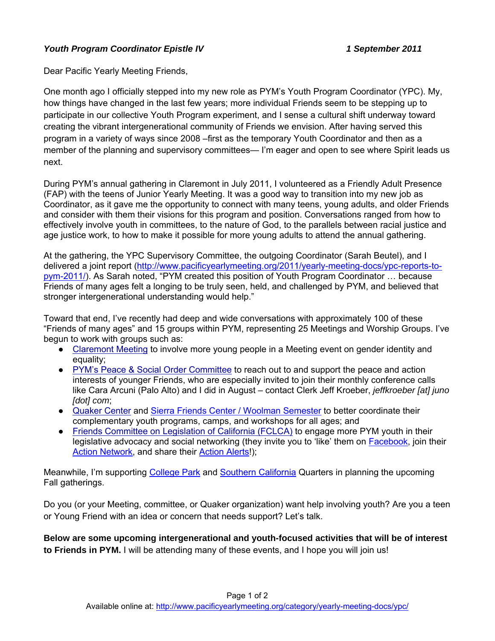## *Youth Program Coordinator Epistle IV 1 September 2011*

Dear Pacific Yearly Meeting Friends,

One month ago I officially stepped into my new role as PYM's Youth Program Coordinator (YPC). My, how things have changed in the last few years; more individual Friends seem to be stepping up to participate in our collective Youth Program experiment, and I sense a cultural shift underway toward creating the vibrant intergenerational community of Friends we envision. After having served this program in a variety of ways since 2008 –first as the temporary Youth Coordinator and then as a member of the planning and supervisory committees— I'm eager and open to see where Spirit leads us next.

During PYM's annual gathering in Claremont in July 2011, I volunteered as a Friendly Adult Presence (FAP) with the teens of Junior Yearly Meeting. It was a good way to transition into my new job as Coordinator, as it gave me the opportunity to connect with many teens, young adults, and older Friends and consider with them their visions for this program and position. Conversations ranged from how to effectively involve youth in committees, to the nature of God, to the parallels between racial justice and age justice work, to how to make it possible for more young adults to attend the annual gathering.

At the gathering, the YPC Supervisory Committee, the outgoing Coordinator (Sarah Beutel), and I delivered a joint report ([http://www.pacificyearlymeeting.org/2011/yearly-meeting-docs/ypc-reports-to](http://www.pacificyearlymeeting.org/2011/yearly-meeting-docs/ypc-reports-to-pym-2011/)[pym-2011/\)](http://www.pacificyearlymeeting.org/2011/yearly-meeting-docs/ypc-reports-to-pym-2011/). As Sarah noted, "PYM created this position of Youth Program Coordinator … because Friends of many ages felt a longing to be truly seen, held, and challenged by PYM, and believed that stronger intergenerational understanding would help."

Toward that end, I've recently had deep and wide conversations with approximately 100 of these "Friends of many ages" and 15 groups within PYM, representing 25 Meetings and Worship Groups. I've begun to work wit[h](http://friends.claremont.ca.us/Site/index.html) groups such as:

- [Claremont](http://friends.claremont.ca.us/Site/index.html) [Meeting](http://friends.claremont.ca.us/Site/index.html) to involve more young people in a Meeting event on gender identity and equality;
- [PYM's](http://www.pacificyearlymeeting.org/documents/committee-newsletters-and-reports/peace-social-order-committee/) [Peace & Social](http://www.pacificyearlymeeting.org/documents/committee-newsletters-and-reports/peace-social-order-committee/) [Order](http://www.pacificyearlymeeting.org/documents/committee-newsletters-and-reports/peace-social-order-committee/) [Committee](http://www.pacificyearlymeeting.org/documents/committee-newsletters-and-reports/peace-social-order-committee/) to reach out to and support the peace and action interests of younger Friends, who are especially invited to join their monthly conference calls like Cara Arcuni (Palo Alto) and I did in August – contact Clerk Jeff Kroeber, *[jeffkroeber \[at\] juno](mailto:jeffkroeber@juno.com)  [\[dot\] com](mailto:jeffkroeber@juno.com)*;
- [Quaker](http://www.quakercenter.org/) [Center](http://www.quakercenter.org/) and [Sierra Friends Center / Woolman Semester](http://www.woolman.org/) to better coordinate their complementary youth programs, camps, and workshops for all ages; and
- [Friends](http://www.fclca.org/) [Committee](http://www.fclca.org/) [on](http://www.fclca.org/) [Legislation](http://www.fclca.org/) [of](http://www.fclca.org/) [California \(FCLCA\)](http://www.fclca.org/) to engage more PYM youth in their legislative advocacy and social networking (they invite you to 'like' them on [Facebook,](https://www.facebook.com/pages/Friends-Committee-on-Legislation-of-California/187418334641476) join their [Action Network,](http://www.capwiz.com/fclca/home/) and share their [Action Alerts](http://capwiz.com/fclca/state/main/?state=CA)!);

Meanwhile, I'm supporting [College Park](http://collegepark.quaker.org/) and [Southern California](http://scqm.org/) Quarters in planning the upcoming Fall gatherings.

Do you (or your Meeting, committee, or Quaker organization) want help involving youth? Are you a teen or Young Friend with an idea or concern that needs support? Let's talk.

**Below are some upcoming intergenerational and youth-focused activities that will be of interest to Friends in PYM.** I will be attending many of these events, and I hope you will join us!